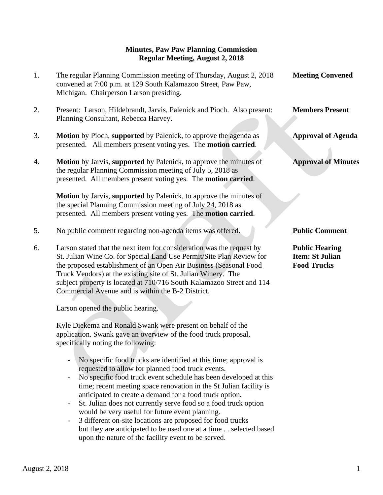## **Minutes, Paw Paw Planning Commission Regular Meeting, August 2, 2018**

- 1. The regular Planning Commission meeting of Thursday, August 2, 2018 **Meeting Convened** convened at 7:00 p.m. at 129 South Kalamazoo Street, Paw Paw, Michigan. Chairperson Larson presiding. 2. Present: Larson, Hildebrandt, Jarvis, Palenick and Pioch. Also present: **Members Present** Planning Consultant, Rebecca Harvey. 3. **Motion** by Pioch, **supported** by Palenick, to approve the agenda as **Approval of Agenda** presented. All members present voting yes. The **motion carried**. 4. **Motion** by Jarvis, **supported** by Palenick, to approve the minutes of **Approval of Minutes** the regular Planning Commission meeting of July 5, 2018 as presented. All members present voting yes. The **motion carried**.  **Motion** by Jarvis, **supported** by Palenick, to approve the minutes of the special Planning Commission meeting of July 24, 2018 as presented. All members present voting yes. The **motion carried**. 5. No public comment regarding non-agenda items was offered. **Public Comment** 6. Larson stated that the next item for consideration was the request by **Public Hearing** St. Julian Wine Co. for Special Land Use Permit/Site Plan Review for **Item: St Julian** the proposed establishment of an Open Air Business (Seasonal Food **Food Trucks** Truck Vendors) at the existing site of St. Julian Winery. The subject property is located at 710/716 South Kalamazoo Street and 114 Commercial Avenue and is within the B-2 District. Larson opened the public hearing. Kyle Diekema and Ronald Swank were present on behalf of the application. Swank gave an overview of the food truck proposal, specifically noting the following: - No specific food trucks are identified at this time; approval is requested to allow for planned food truck events. - No specific food truck event schedule has been developed at this time; recent meeting space renovation in the St Julian facility is
	- anticipated to create a demand for a food truck option. - St. Julian does not currently serve food so a food truck option would be very useful for future event planning.
	- 3 different on-site locations are proposed for food trucks but they are anticipated to be used one at a time . . selected based upon the nature of the facility event to be served.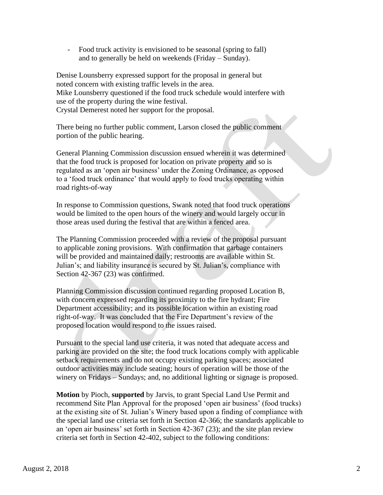- Food truck activity is envisioned to be seasonal (spring to fall) and to generally be held on weekends (Friday – Sunday).

 Denise Lounsberry expressed support for the proposal in general but noted concern with existing traffic levels in the area. Mike Lounsberry questioned if the food truck schedule would interfere with use of the property during the wine festival. Crystal Demerest noted her support for the proposal.

 There being no further public comment, Larson closed the public comment portion of the public hearing.

 General Planning Commission discussion ensued wherein it was determined that the food truck is proposed for location on private property and so is regulated as an 'open air business' under the Zoning Ordinance, as opposed to a 'food truck ordinance' that would apply to food trucks operating within road rights-of-way

 In response to Commission questions, Swank noted that food truck operations would be limited to the open hours of the winery and would largely occur in those areas used during the festival that are within a fenced area.

 The Planning Commission proceeded with a review of the proposal pursuant to applicable zoning provisions. With confirmation that garbage containers will be provided and maintained daily; restrooms are available within St. Julian's; and liability insurance is secured by St. Julian's, compliance with Section 42-367 (23) was confirmed.

 Planning Commission discussion continued regarding proposed Location B, with concern expressed regarding its proximity to the fire hydrant; Fire Department accessibility; and its possible location within an existing road right-of-way. It was concluded that the Fire Department's review of the proposed location would respond to the issues raised.

 Pursuant to the special land use criteria, it was noted that adequate access and parking are provided on the site; the food truck locations comply with applicable setback requirements and do not occupy existing parking spaces; associated outdoor activities may include seating; hours of operation will be those of the winery on Fridays – Sundays; and, no additional lighting or signage is proposed.

 **Motion** by Pioch, **supported** by Jarvis, to grant Special Land Use Permit and recommend Site Plan Approval for the proposed 'open air business' (food trucks) at the existing site of St. Julian's Winery based upon a finding of compliance with the special land use criteria set forth in Section 42-366; the standards applicable to an 'open air business' set forth in Section 42-367 (23); and the site plan review criteria set forth in Section 42-402, subject to the following conditions: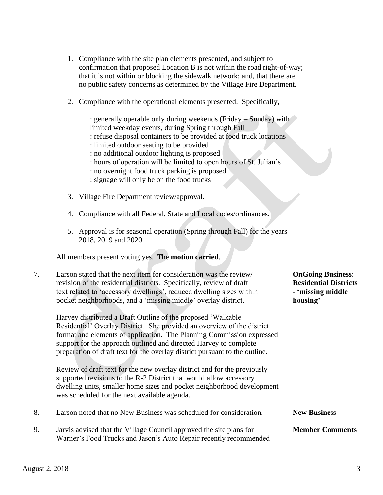- 1. Compliance with the site plan elements presented, and subject to confirmation that proposed Location B is not within the road right-of-way; that it is not within or blocking the sidewalk network; and, that there are no public safety concerns as determined by the Village Fire Department.
- 2. Compliance with the operational elements presented. Specifically,

: generally operable only during weekends (Friday – Sunday) with limited weekday events, during Spring through Fall : refuse disposal containers to be provided at food truck locations : limited outdoor seating to be provided : no additional outdoor lighting is proposed : hours of operation will be limited to open hours of St. Julian's : no overnight food truck parking is proposed : signage will only be on the food trucks

- 3. Village Fire Department review/approval.
- 4. Compliance with all Federal, State and Local codes/ordinances.
- 5. Approval is for seasonal operation (Spring through Fall) for the years 2018, 2019 and 2020.

All members present voting yes. The **motion carried**.

| 7. | Larson stated that the next item for consideration was the review/<br>revision of the residential districts. Specifically, review of draft<br>text related to 'accessory dwellings', reduced dwelling sizes within<br>pocket neighborhoods, and a 'missing middle' overlay district.                                                                                  | <b>OnGoing Business:</b><br><b>Residential Districts</b><br>- 'missing middle<br>housing' |
|----|-----------------------------------------------------------------------------------------------------------------------------------------------------------------------------------------------------------------------------------------------------------------------------------------------------------------------------------------------------------------------|-------------------------------------------------------------------------------------------|
|    | Harvey distributed a Draft Outline of the proposed 'Walkable'<br>Residential' Overlay District. She provided an overview of the district<br>format and elements of application. The Planning Commission expressed<br>support for the approach outlined and directed Harvey to complete<br>preparation of draft text for the overlay district pursuant to the outline. |                                                                                           |
|    | Review of draft text for the new overlay district and for the previously<br>supported revisions to the R-2 District that would allow accessory<br>dwelling units, smaller home sizes and pocket neighborhood development<br>was scheduled for the next available agenda.                                                                                              |                                                                                           |
| 8. | Larson noted that no New Business was scheduled for consideration.                                                                                                                                                                                                                                                                                                    | <b>New Business</b>                                                                       |
| 9. | Jarvis advised that the Village Council approved the site plans for<br>Warner's Food Trucks and Jason's Auto Repair recently recommended                                                                                                                                                                                                                              | <b>Member Comments</b>                                                                    |